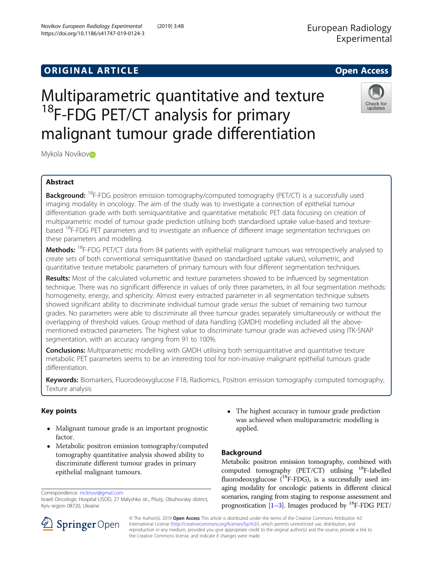## **ORIGINAL ARTICLE CONSERVERSITY OF ACCESS**

# Multiparametric quantitative and texture <sup>18</sup>F-FDG PET/CT analysis for primary malignant tumour grade differentiation

Mykola Novikovi**D** 

## Abstract

**Background:** <sup>18</sup>F-FDG positron emission tomography/computed tomography (PET/CT) is a successfully used imaging modality in oncology. The aim of the study was to investigate a connection of epithelial tumour differentiation grade with both semiquantitative and quantitative metabolic PET data focusing on creation of multiparametric model of tumour grade prediction utilising both standardised uptake value-based and texturebased <sup>18</sup>F-FDG PET parameters and to investigate an influence of different image segmentation techniques on these parameters and modelling.

Methods: <sup>18</sup>F-FDG PET/CT data from 84 patients with epithelial malignant tumours was retrospectively analysed to create sets of both conventional semiquantitative (based on standardised uptake values), volumetric, and quantitative texture metabolic parameters of primary tumours with four different segmentation techniques.

Results: Most of the calculated volumetric and texture parameters showed to be influenced by segmentation technique. There was no significant difference in values of only three parameters, in all four segmentation methods: homogeneity, energy, and sphericity. Almost every extracted parameter in all segmentation technique subsets showed significant ability to discriminate individual tumour grade versus the subset of remaining two tumour grades. No parameters were able to discriminate all three tumour grades separately simultaneously or without the overlapping of threshold values. Group method of data handling (GMDH) modelling included all the abovementioned extracted parameters. The highest value to discriminate tumour grade was achieved using ITK-SNAP segmentation, with an accuracy ranging from 91 to 100%.

**Conclusions:** Multiparametric modelling with GMDH utilising both semiguantitative and quantitative texture metabolic PET parameters seems to be an interesting tool for non-invasive malignant epithelial tumours grade differentiation.

Keywords: Biomarkers, Fluorodeoxyglucose F18, Radiomics, Positron emission tomography computed tomography, Texture analysis

## Key points

- Malignant tumour grade is an important prognostic factor.
- Metabolic positron emission tomography/computed tomography quantitative analysis showed ability to discriminate different tumour grades in primary epithelial malignant tumours.

Correspondence: [nicknovi@gmal.com](mailto:nicknovi@gmal.com)

Israeli Oncologic Hospital LISOD, 27 Malyshko str., Pliuty, Obuhovskiy district, Kyiv region 08720, Ukraine

• The highest accuracy in tumour grade prediction was achieved when multiparametric modelling is applied.

## Background

Metabolic positron emission tomography, combined with computed tomography (PET/CT) utilising  $^{18}$ F-labelled fluorodeoxyglucose  $(^{18}F-FDG)$ , is a successfully used imaging modality for oncologic patients in different clinical scenarios, ranging from staging to response assessment and prognostication [\[1](#page-6-0)–[3\]](#page-6-0). Images produced by  $^{18}$ F-FDG PET/

© The Author(s). 2019 Open Access This article is distributed under the terms of the Creative Commons Attribution 4.0 International License ([http://creativecommons.org/licenses/by/4.0/\)](http://creativecommons.org/licenses/by/4.0/), which permits unrestricted use, distribution, and reproduction in any medium, provided you give appropriate credit to the original author(s) and the source, provide a link to the Creative Commons license, and indicate if changes were made.





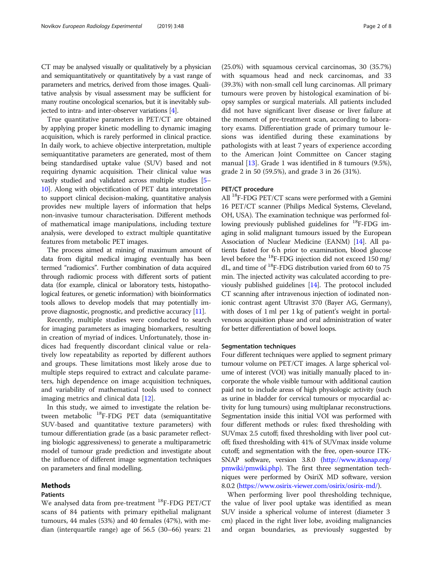CT may be analysed visually or qualitatively by a physician and semiquantitatively or quantitatively by a vast range of parameters and metrics, derived from those images. Qualitative analysis by visual assessment may be sufficient for many routine oncological scenarios, but it is inevitably subjected to intra- and inter-observer variations [[4\]](#page-6-0).

True quantitative parameters in PET/CT are obtained by applying proper kinetic modelling to dynamic imaging acquisition, which is rarely performed in clinical practice. In daily work, to achieve objective interpretation, multiple semiquantitative parameters are generated, most of them being standardised uptake value (SUV) based and not requiring dynamic acquisition. Their clinical value was vastly studied and validated across multiple studies [[5](#page-6-0)– [10](#page-6-0)]. Along with objectification of PET data interpretation to support clinical decision-making, quantitative analysis provides new multiple layers of information that helps non-invasive tumour characterisation. Different methods of mathematical image manipulations, including texture analysis, were developed to extract multiple quantitative features from metabolic PET images.

The process aimed at mining of maximum amount of data from digital medical imaging eventually has been termed "radiomics". Further combination of data acquired through radiomic process with different sorts of patient data (for example, clinical or laboratory tests, histopathological features, or genetic information) with bioinformatics tools allows to develop models that may potentially improve diagnostic, prognostic, and predictive accuracy [[11](#page-6-0)].

Recently, multiple studies were conducted to search for imaging parameters as imaging biomarkers, resulting in creation of myriad of indices. Unfortunately, those indices had frequently discordant clinical value or relatively low repeatability as reported by different authors and groups. These limitations most likely arose due to multiple steps required to extract and calculate parameters, high dependence on image acquisition techniques, and variability of mathematical tools used to connect imaging metrics and clinical data [\[12](#page-6-0)].

In this study, we aimed to investigate the relation between metabolic 18F-FDG PET data (semiquantitative SUV-based and quantitative texture parameters) with tumour differentiation grade (as a basic parameter reflecting biologic aggressiveness) to generate a multiparametric model of tumour grade prediction and investigate about the influence of different image segmentation techniques on parameters and final modelling.

#### Methods

#### Patients

We analysed data from pre-treatment 18F-FDG PET/CT scans of 84 patients with primary epithelial malignant tumours, 44 males (53%) and 40 females (47%), with median (interquartile range) age of 56.5 (30–66) years: 21

(25.0%) with squamous cervical carcinomas, 30 (35.7%) with squamous head and neck carcinomas, and 33 (39.3%) with non-small cell lung carcinomas. All primary tumours were proven by histological examination of biopsy samples or surgical materials. All patients included did not have significant liver disease or liver failure at the moment of pre-treatment scan, according to laboratory exams. Differentiation grade of primary tumour lesions was identified during these examinations by pathologists with at least 7 years of experience according to the American Joint Committee on Cancer staging manual [\[13\]](#page-6-0). Grade 1 was identified in 8 tumours (9.5%), grade 2 in 50 (59.5%), and grade 3 in 26 (31%).

### PET/CT procedure

All  $^{18}$ F-FDG PET/CT scans were performed with a Gemini 16 PET/CT scanner (Philips Medical Systems, Cleveland, OH, USA). The examination technique was performed following previously published guidelines for  $^{18}$ F-FDG imaging in solid malignant tumours issued by the European Association of Nuclear Medicine (EANM) [\[14\]](#page-6-0). All patients fasted for 6 h prior to examination, blood glucose level before the 18F-FDG injection did not exceed 150 mg/ dL, and time of 18F-FDG distribution varied from 60 to 75 min. The injected activity was calculated according to previously published guidelines [[14](#page-6-0)]. The protocol included CT scanning after intravenous injection of iodinated nonionic contrast agent Ultravist 370 (Bayer AG, Germany), with doses of 1 ml per 1 kg of patient's weight in portalvenous acquisition phase and oral administration of water for better differentiation of bowel loops.

#### Segmentation techniques

Four different techniques were applied to segment primary tumour volume on PET/CT images. A large spherical volume of interest (VOI) was initially manually placed to incorporate the whole visible tumour with additional caution paid not to include areas of high physiologic activity (such as urine in bladder for cervical tumours or myocardial activity for lung tumours) using multiplanar reconstructions. Segmentation inside this initial VOI was performed with four different methods or rules: fixed thresholding with SUVmax 2.5 cutoff; fixed thresholding with liver pool cutoff; fixed thresholding with 41% of SUVmax inside volume cutoff; and segmentation with the free, open-source ITK-SNAP software, version 3.8.0 [\(http://www.itksnap.org/](http://www.itksnap.org/pmwiki/pmwiki.php) [pmwiki/pmwiki.php](http://www.itksnap.org/pmwiki/pmwiki.php)). The first three segmentation techniques were performed by OsiriX MD software, version 8.0.2 ([https://www.osirix-viewer.com/osirix/osirix-md/\)](https://www.osirix-viewer.com/osirix/osirix-md/).

When performing liver pool thresholding technique, the value of liver pool uptake was identified as mean SUV inside a spherical volume of interest (diameter 3 cm) placed in the right liver lobe, avoiding malignancies and organ boundaries, as previously suggested by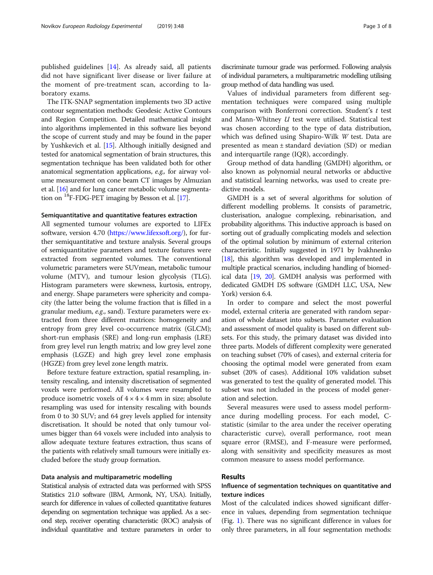published guidelines [\[14](#page-6-0)]. As already said, all patients did not have significant liver disease or liver failure at the moment of pre-treatment scan, according to laboratory exams.

The ITK-SNAP segmentation implements two 3D active contour segmentation methods: Geodesic Active Contours and Region Competition. Detailed mathematical insight into algorithms implemented in this software lies beyond the scope of current study and may be found in the paper by Yushkevich et al. [\[15\]](#page-6-0). Although initially designed and tested for anatomical segmentation of brain structures, this segmentation technique has been validated both for other anatomical segmentation applications, e.g., for airway volume measurement on cone beam CT images by Almuzian et al. [\[16\]](#page-6-0) and for lung cancer metabolic volume segmentation on 18F-FDG-PET imaging by Besson et al. [[17](#page-6-0)].

#### Semiquantitative and quantitative features extraction

All segmented tumour volumes are exported to LIFEx software, version 4.70 (<https://www.lifexsoft.org/>), for further semiquantitative and texture analysis. Several groups of semiquantitative parameters and texture features were extracted from segmented volumes. The conventional volumetric parameters were SUVmean, metabolic tumour volume (MTV), and tumour lesion glycolysis (TLG). Histogram parameters were skewness, kurtosis, entropy, and energy. Shape parameters were sphericity and compacity (the latter being the volume fraction that is filled in a granular medium, e.g., sand). Texture parameters were extracted from three different matrices: homogeneity and entropy from grey level co-occurrence matrix (GLCM); short-run emphasis (SRE) and long-run emphasis (LRE) from grey level run length matrix; and low grey level zone emphasis (LGZE) and high grey level zone emphasis (HGZE) from grey level zone length matrix.

Before texture feature extraction, spatial resampling, intensity rescaling, and intensity discretisation of segmented voxels were performed. All volumes were resampled to produce isometric voxels of  $4 \times 4 \times 4$  mm in size; absolute resampling was used for intensity rescaling with bounds from 0 to 30 SUV; and 64 grey levels applied for intensity discretisation. It should be noted that only tumour volumes bigger than 64 voxels were included into analysis to allow adequate texture features extraction, thus scans of the patients with relatively small tumours were initially excluded before the study group formation.

#### Data analysis and multiparametric modelling

Statistical analysis of extracted data was performed with SPSS Statistics 21.0 software (IBM, Armonk, NY, USA). Initially, search for difference in values of collected quantitative features depending on segmentation technique was applied. As a second step, receiver operating characteristic (ROC) analysis of individual quantitative and texture parameters in order to discriminate tumour grade was performed. Following analysis of individual parameters, a multiparametric modelling utilising group method of data handling was used.

Values of individual parameters from different segmentation techniques were compared using multiple comparison with Bonferroni correction. Student'<sup>s</sup> t test and Mann-Whitney  $U$  test were utilised. Statistical test was chosen according to the type of data distribution, which was defined using Shapiro-Wilk W test. Data are presented as mean ± standard deviation (SD) or median and interquartile range (IQR), accordingly.

Group method of data handling (GMDH) algorithm, or also known as polynomial neural networks or abductive and statistical learning networks, was used to create predictive models.

GMDH is a set of several algorithms for solution of different modelling problems. It consists of parametric, clusterisation, analogue complexing, rebinarisation, and probability algorithms. This inductive approach is based on sorting out of gradually complicating models and selection of the optimal solution by minimum of external criterion characteristic. Initially suggested in 1971 by Ivakhnenko [[18](#page-6-0)], this algorithm was developed and implemented in multiple practical scenarios, including handling of biomedical data [[19](#page-6-0), [20](#page-7-0)]. GMDH analysis was performed with dedicated GMDH DS software (GMDH LLC, USA, New York) version 6.4.

In order to compare and select the most powerful model, external criteria are generated with random separation of whole dataset into subsets. Parameter evaluation and assessment of model quality is based on different subsets. For this study, the primary dataset was divided into three parts. Models of different complexity were generated on teaching subset (70% of cases), and external criteria for choosing the optimal model were generated from exam subset (20% of cases). Additional 10% validation subset was generated to test the quality of generated model. This subset was not included in the process of model generation and selection.

Several measures were used to assess model performance during modelling process. For each model, Cstatistic (similar to the area under the receiver operating characteristic curve), overall performance, root mean square error (RMSE), and F-measure were performed, along with sensitivity and specificity measures as most common measure to assess model performance.

#### Results

## Influence of segmentation techniques on quantitative and texture indices

Most of the calculated indices showed significant difference in values, depending from segmentation technique (Fig. [1\)](#page-3-0). There was no significant difference in values for only three parameters, in all four segmentation methods: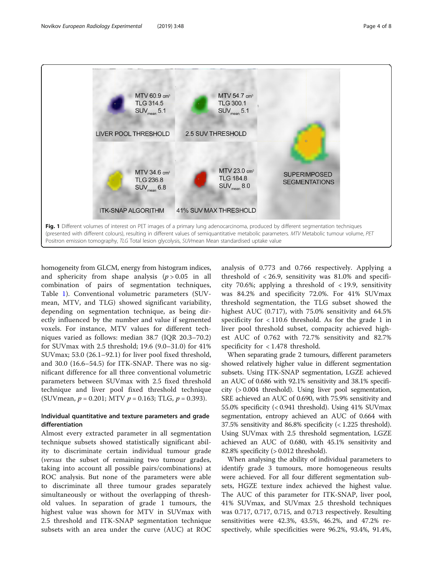<span id="page-3-0"></span>

homogeneity from GLCM, energy from histogram indices, and sphericity from shape analysis  $(p > 0.05$  in all combination of pairs of segmentation techniques, Table [1\)](#page-4-0). Conventional volumetric parameters (SUVmean, MTV, and TLG) showed significant variability, depending on segmentation technique, as being directly influenced by the number and value if segmented voxels. For instance, MTV values for different techniques varied as follows: median 38.7 (IQR 20.3–70.2) for SUVmax with 2.5 threshold; 19.6 (9.0–31.0) for 41% SUVmax; 53.0 (26.1–92.1) for liver pool fixed threshold, and 30.0 (16.6–54.5) for ITK-SNAP. There was no significant difference for all three conventional volumetric parameters between SUVmax with 2.5 fixed threshold technique and liver pool fixed threshold technique (SUV mean,  $p = 0.201$ ; MTV  $p = 0.163$ ; TLG,  $p = 0.393$ ).

## Individual quantitative and texture parameters and grade differentiation

Almost every extracted parameter in all segmentation technique subsets showed statistically significant ability to discriminate certain individual tumour grade (versus the subset of remaining two tumour grades, taking into account all possible pairs/combinations) at ROC analysis. But none of the parameters were able to discriminate all three tumour grades separately simultaneously or without the overlapping of threshold values. In separation of grade 1 tumours, the highest value was shown for MTV in SUVmax with 2.5 threshold and ITK-SNAP segmentation technique subsets with an area under the curve (AUC) at ROC

analysis of 0.773 and 0.766 respectively. Applying a threshold of  $\langle 26.9,$  sensitivity was 81.0% and specificity 70.6%; applying a threshold of < 19.9, sensitivity was 84.2% and specificity 72.0%. For 41% SUVmax threshold segmentation, the TLG subset showed the highest AUC (0.717), with 75.0% sensitivity and 64.5% specificity for < 110.6 threshold. As for the grade 1 in liver pool threshold subset, compacity achieved highest AUC of 0.762 with 72.7% sensitivity and 82.7% specificity for < 1.478 threshold.

When separating grade 2 tumours, different parameters showed relatively higher value in different segmentation subsets. Using ITK-SNAP segmentation, LGZE achieved an AUC of 0.686 with 92.1% sensitivity and 38.1% specificity (> 0.004 threshold). Using liver pool segmentation, SRE achieved an AUC of 0.690, with 75.9% sensitivity and 55.0% specificity (< 0.941 threshold). Using 41% SUVmax segmentation, entropy achieved an AUC of 0.664 with 37.5% sensitivity and 86.8% specificity (< 1.225 threshold). Using SUVmax with 2.5 threshold segmentation, LGZE achieved an AUC of 0.680, with 45.1% sensitivity and 82.8% specificity (> 0.012 threshold).

When analysing the ability of individual parameters to identify grade 3 tumours, more homogeneous results were achieved. For all four different segmentation subsets, HGZE texture index achieved the highest value. The AUC of this parameter for ITK-SNAP, liver pool, 41% SUVmax, and SUVmax 2.5 threshold techniques was 0.717, 0.717, 0.715, and 0.713 respectively. Resulting sensitivities were 42.3%, 43.5%, 46.2%, and 47.2% respectively, while specificities were 96.2%, 93.4%, 91.4%,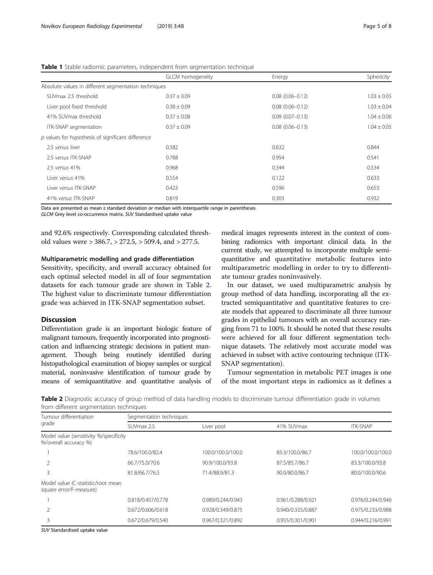|                                                      | <b>GLCM</b> homogeneity | Energy              | Sphericity      |
|------------------------------------------------------|-------------------------|---------------------|-----------------|
| Absolute values in different segmentation techniques |                         |                     |                 |
| SUVmax 2.5 threshold                                 | $0.37 \pm 0.09$         | $0.08(0.06 - 0.12)$ | $1.03 \pm 0.05$ |
| Liver pool fixed threshold                           | $0.38 \pm 0.09$         | $0.08(0.06 - 0.12)$ | $1.03 \pm 0.04$ |
| 41% SUVmax threshold                                 | $0.37 \pm 0.08$         | $0.09(0.07 - 0.13)$ | $1.04 \pm 0.06$ |
| ITK-SNAP segmentation                                | $0.37 \pm 0.09$         | $0.08(0.06 - 0.13)$ | $1.04 \pm 0.05$ |
| $p$ values for hypothesis of significant difference  |                         |                     |                 |
| 2.5 versus liver                                     | 0.582                   | 0.632               | 0.844           |
| 2.5 versus ITK-SNAP                                  | 0.788                   | 0.954               | 0.541           |
| 2.5 versus 41%                                       | 0.968                   | 0.344               | 0.534           |
| Liver versus 41%                                     | 0.554                   | 0.122               | 0.633           |
| Liver versus ITK-SNAP                                | 0.423                   | 0.596               | 0.653           |
| 41% versus ITK-SNAP                                  | 0.819                   | 0.303               | 0.932           |

<span id="page-4-0"></span>Table 1 Stable radiomic parameters, independent from segmentation technique

Data are presented as mean ± standard deviation or median with interquartile range in parentheses

GLCM Grey level co-occurrence matrix, SUV Standardised uptake value

and 92.6% respectively. Corresponding calculated threshold values were > 386.7, > 272.5, > 509.4, and > 277.5.

#### Multiparametric modelling and grade differentiation

Sensitivity, specificity, and overall accuracy obtained for each optimal selected model in all of four segmentation datasets for each tumour grade are shown in Table 2. The highest value to discriminate tumour differentiation grade was achieved in ITK-SNAP segmentation subset.

#### **Discussion**

Differentiation grade is an important biologic feature of malignant tumours, frequently incorporated into prognostication and influencing strategic decisions in patient management. Though being routinely identified during histopathological examination of biopsy samples or surgical material, noninvasive identification of tumour grade by means of semiquantitative and quantitative analysis of

medical images represents interest in the context of combining radiomics with important clinical data. In the current study, we attempted to incorporate multiple semiquantitative and quantitative metabolic features into multiparametric modelling in order to try to differentiate tumour grades noninvasively.

In our dataset, we used multiparametric analysis by group method of data handling, incorporating all the extracted semiquantitative and quantitative features to create models that appeared to discriminate all three tumour grades in epithelial tumours with an overall accuracy ranging from 71 to 100%. It should be noted that these results were achieved for all four different segmentation technique datasets. The relatively most accurate model was achieved in subset with active contouring technique (ITK-SNAP segmentation).

Tumour segmentation in metabolic PET images is one of the most important steps in radiomics as it defines a

Table 2 Diagnostic accuracy of group method of data handling models to discriminate tumour differentiation grade in volumes from different segmentation techniques

| HOTH allierent segmentation teemingues<br>Tumour differentiation<br>grade |                   | Segmentation techniques |                   |                   |  |  |
|---------------------------------------------------------------------------|-------------------|-------------------------|-------------------|-------------------|--|--|
|                                                                           | SUVmax 2.5        | Liver pool              | 41% SUVmax        | <b>ITK-SNAP</b>   |  |  |
| Model value (sensitivity %/specificity<br>%/overall accuracy %)           |                   |                         |                   |                   |  |  |
|                                                                           | 78.6/100.0/82.4   | 100.0/100.0/100.0       | 83.3/100.0/86.7   | 100.0/100.0/100.0 |  |  |
|                                                                           | 66.7/75.0/70.6    | 90.9/100.0/93.8         | 87.5/85.7/86.7    | 83.3/100.0/93.8   |  |  |
|                                                                           | 81.8/66.7/76.5    | 71.4/88.9/81.3          | 90.0/80.0/86.7    | 80.0/100.0/90.6   |  |  |
| Model value (C-statistic/root mean<br>square error/F-measure)             |                   |                         |                   |                   |  |  |
|                                                                           | 0.818/0.457/0.778 | 0.989/0.244/0.943       | 0.961/0.288/0.921 | 0.976/0.244/0.946 |  |  |
|                                                                           | 0.672/0.606/0.618 | 0.928/0.349/0.875       | 0.940/0.335/0.887 | 0.975/0.233/0.988 |  |  |
|                                                                           | 0.672/0.679/0.540 | 0.967/0.321/0.892       | 0.955/0.301/0.901 | 0.944/0.216/0.991 |  |  |

SUV Standardised uptake value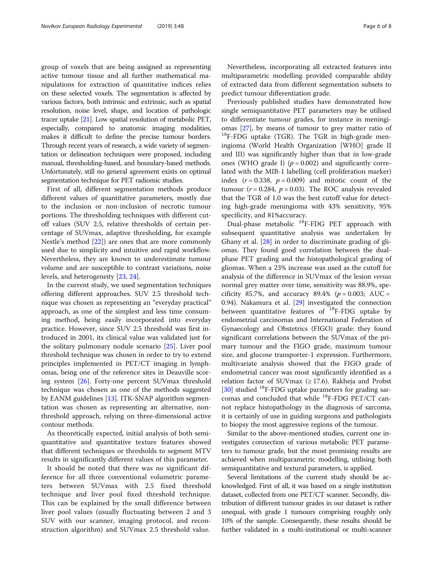group of voxels that are being assigned as representing active tumour tissue and all further mathematical manipulations for extraction of quantitative indices relies on these selected voxels. The segmentation is affected by various factors, both intrinsic and extrinsic, such as spatial resolution, noise level, shape, and location of pathologic tracer uptake [\[21](#page-7-0)]. Low spatial resolution of metabolic PET, especially, compared to anatomic imaging modalities, makes it difficult to define the precise tumour borders. Through recent years of research, a wide variety of segmentation or delineation techniques were proposed, including manual, thresholding-based, and boundary-based methods. Unfortunately, still no general agreement exists on optimal segmentation technique for PET radiomic studies.

First of all, different segmentation methods produce different values of quantitative parameters, mostly due to the inclusion or non-inclusion of necrotic tumour portions. The thresholding techniques with different cutoff values (SUV 2.5, relative thresholds of certain percentage of SUVmax, adaptive thresholding, for example Nestle's method [[22](#page-7-0)]) are ones that are more commonly used due to simplicity and intuitive and rapid workflow. Nevertheless, they are known to underestimate tumour volume and are susceptible to contrast variations, noise levels, and heterogeneity [\[23,](#page-7-0) [24\]](#page-7-0).

In the current study, we used segmentation techniques offering different approaches. SUV 2.5 threshold technique was chosen as representing an "everyday practical" approach, as one of the simplest and less time consuming method, being easily incorporated into everyday practice. However, since SUV 2.5 threshold was first introduced in 2001, its clinical value was validated just for the solitary pulmonary nodule scenario [[25\]](#page-7-0). Liver pool threshold technique was chosen in order to try to extend principles implemented in PET/CT imaging in lymphomas, being one of the reference sites in Deauville scoring system [\[26\]](#page-7-0). Forty-one percent SUVmax threshold technique was chosen as one of the methods suggested by EANM guidelines [[13\]](#page-6-0). ITK-SNAP algorithm segmentation was chosen as representing an alternative, nonthreshold approach, relying on three-dimensional active contour methods.

As theoretically expected, initial analysis of both semiquantitative and quantitative texture features showed that different techniques or thresholds to segment MTV results in significantly different values of this parameter.

It should be noted that there was no significant difference for all three conventional volumetric parameters between SUVmax with 2.5 fixed threshold technique and liver pool fixed threshold technique. This can be explained by the small difference between liver pool values (usually fluctuating between 2 and 3 SUV with our scanner, imaging protocol, and reconstruction algorithm) and SUVmax 2.5 threshold value.

Nevertheless, incorporating all extracted features into multiparametric modelling provided comparable ability of extracted data from different segmentation subsets to predict tumour differentiation grade.

Previously published studies have demonstrated how single semiquantitative PET parameters may be utilised to differentiate tumour grades, for instance in meningi-omas [\[27](#page-7-0)], by means of tumour to grey matter ratio of  $^{18}F$ -FDG uptake (TGR). The TGR in high-grade meningioma (World Health Organization [WHO] grade II and III) was significantly higher than that in low-grade ones (WHO grade I) ( $p = 0.002$ ) and significantly correlated with the MIB-1 labelling (cell proliferation marker) index  $(r = 0.338, p = 0.009)$  and mitotic count of the tumour ( $r = 0.284$ ,  $p = 0.03$ ). The ROC analysis revealed that the TGR of 1.0 was the best cutoff value for detecting high-grade meningioma with 43% sensitivity, 95% specificity, and 81%accuracy.

Dual-phase metabolic <sup>18</sup>F-FDG PET approach with subsequent quantitative analysis was undertaken by Ghany et al. [\[28](#page-7-0)] in order to discriminate grading of gliomas. They found good correlation between the dualphase PET grading and the histopathological grading of gliomas. When a 23% increase was used as the cutoff for analysis of the difference in SUVmax of the lesion versus normal grey matter over time, sensitivity was 88.9%, specificity 85.7%, and accuracy 89.4% ( $p = 0.003$ ; AUC = 0.94). Nakamura et al. [\[29](#page-7-0)] investigated the connection between quantitative features of  $^{18}$ F-FDG uptake by endometrial carcinomas and International Federation of Gynaecology and Obstetrics (FIGO) grade: they found significant correlations between the SUVmax of the primary tumour and the FIGO grade, maximum tumour size, and glucose transporter-1 expression. Furthermore, multivariate analysis showed that the FIGO grade of endometrial cancer was most significantly identified as a relation factor of SUVmax  $(≥ 17.6)$ . Rakheja and Probst [[30\]](#page-7-0) studied  $^{18}$ F-FDG uptake parameters for grading sarcomas and concluded that while  $^{18}$ F-FDG PET/CT cannot replace histopathology in the diagnosis of sarcoma, it is certainly of use in guiding surgeons and pathologists to biopsy the most aggressive regions of the tumour.

Similar to the above-mentioned studies, current one investigates connection of various metabolic PET parameters to tumour grade, but the most promising results are achieved when multiparametric modelling, utilising both semiquantitative and textural parameters, is applied.

Several limitations of the current study should be acknowledged. First of all, it was based on a single institution dataset, collected from one PET/CT scanner. Secondly, distribution of different tumour grades in our dataset is rather unequal, with grade 1 tumours comprising roughly only 10% of the sample. Consequently, these results should be further validated in a multi-institutional or multi-scanner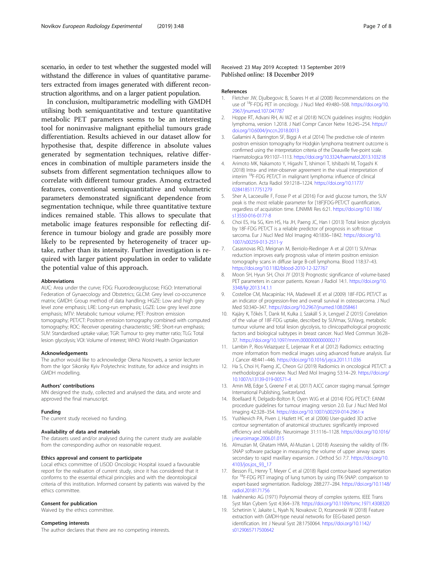<span id="page-6-0"></span>scenario, in order to test whether the suggested model will withstand the difference in values of quantitative parameters extracted from images generated with different reconstruction algorithms, and on a larger patient population.

In conclusion, multiparametric modelling with GMDH utilising both semiquantitative and texture quantitative metabolic PET parameters seems to be an interesting tool for noninvasive malignant epithelial tumours grade differentiation. Results achieved in our dataset allow for hypothesise that, despite difference in absolute values generated by segmentation techniques, relative differences in combination of multiple parameters inside the subsets from different segmentation techniques allow to correlate with different tumour grades. Among extracted features, conventional semiquantitative and volumetric parameters demonstrated significant dependence from segmentation technique, while three quantitative texture indices remained stable. This allows to speculate that metabolic image features responsible for reflecting difference in tumour biology and grade are possibly more likely to be represented by heterogeneity of tracer uptake, rather than its intensity. Further investigation is required with larger patient population in order to validate the potential value of this approach.

#### Abbreviations

AUC: Area under the curve; FDG: Fluorodeoxyglucose; FIGO: International Federation of Gynaecology and Obstetrics; GLCM: Grey level co-occurrence matrix; GMDH: Group method of data handling; HGZE: Low and high grey level zone emphasis; LRE: Long-run emphasis; LGZE: Low grey level zone emphasis; MTV: Metabolic tumour volume; PET: Positron emission tomography; PET/CT: Positron emission tomography combined with computed tomography; ROC: Receiver operating characteristic; SRE: Short-run emphasis; SUV: Standardised uptake value; TGR: Tumour to grey matter ratio; TLG: Total lesion glycolysis; VOI: Volume of interest; WHO: World Health Organization

#### Acknowledgements

The author would like to acknowledge Olena Nosovets, a senior lecturer from the Igor Sikorsky Kyiv Polytechnic Institute, for advice and insights in GMDH modelling.

#### Authors' contributions

MN designed the study, collected and analysed the data, and wrote and approved the final manuscript.

#### Funding

The current study received no funding.

#### Availability of data and materials

The datasets used and/or analysed during the current study are available from the corresponding author on reasonable request.

#### Ethics approval and consent to participate

Local ethics committee of LISOD Oncologic Hospital issued a favourable report for the realisation of current study, since it has considered that it conforms to the essential ethical principles and with the deontological criteria of this institution. Informed consent by patients was waived by the ethics committee.

#### Consent for publication

Waived by the ethics committee.

#### Competing interests

The author declares that there are no competing interests.

#### References

- 1. Fletcher JW, Djulbegovic B, Soares H et al (2008) Recommendations on the use of 18F-FDG PET in oncology. J Nucl Med 49:480–508. [https://doi.org/10.](https://doi.org/10.2967/jnumed.107.047787) [2967/jnumed.107.047787](https://doi.org/10.2967/jnumed.107.047787)
- 2. Hoppe RT, Advani RH, Ai WZ et al (2018) NCCN guidelines insights: Hodgkin lymphoma, version 1.2018. J Natl Compr Cancer Netw 16:245–254. [https://](https://doi.org/10.6004/jnccn.2018.0013) [doi.org/10.6004/jnccn.2018.0013](https://doi.org/10.6004/jnccn.2018.0013)
- 3. Gallamini A, Barrington SF, Biggi A et al (2014) The predictive role of interim positron emission tomography for Hodgkin lymphoma treatment outcome is confirmed using the interpretation criteria of the Deauville five-point scale. Haematologica 99:1107–1113. <https://doi.org/10.3324/haematol.2013.103218>
- 4. Arimoto MK, Nakamoto Y, Higashi T, Ishimori T, Ishibashi M, Togashi K (2018) Intra- and inter-observer agreement in the visual interpretation of interim 18F-FDG PET/CT in malignant lymphoma: influence of clinical information. Acta Radiol 59:1218–1224. [https://doi.org/10.1177/](https://doi.org/10.1177/0284185117751279) [0284185117751279](https://doi.org/10.1177/0284185117751279)
- 5. Sher A, Lacoeuille F, Fosse P et al (2016) For avid glucose tumors, the SUV peak is the most reliable parameter for [18F]FDG-PET/CT quantification, regardless of acquisition time. EJNMMI Res 6:21. [https://doi.org/10.1186/](https://doi.org/10.1186/s13550-016-0177-8) [s13550-016-0177-8](https://doi.org/10.1186/s13550-016-0177-8)
- 6. Choi ES, Ha SG, Kim HS, Ha JH, Paeng JC, Han I (2013) Total lesion glycolysis by 18F-FDG PET/CT is a reliable predictor of prognosis in soft-tissue sarcoma. Eur J Nucl Med Mol Imaging 40:1836–1842. [https://doi.org/10.](https://doi.org/10.1007/s00259-013-2511-y) [1007/s00259-013-2511-y](https://doi.org/10.1007/s00259-013-2511-y)
- 7. Casasnovas RO, Meignan M, Berriolo-Riedinger A et al (2011) SUVmax reduction improves early prognosis value of interim positron emission tomography scans in diffuse large B-cell lymphoma. Blood 118:37–43. <https://doi.org/10.1182/blood-2010-12-327767>
- 8. Moon SH, Hyun SH, Choi JY (2013) Prognostic significance of volume-based PET parameters in cancer patients. Korean J Radiol 14:1. [https://doi.org/10.](https://doi.org/10.3348/kjr.2013.14.1.1) [3348/kjr.2013.14.1.1](https://doi.org/10.3348/kjr.2013.14.1.1)
- 9. Costelloe CM, Macapinlac HA, Madewell JE et al (2009) 18F-FDG PET/CT as an indicator of progression-free and overall survival in osteosarcoma. J Nucl Med 50:340–347. <https://doi.org/10.2967/jnumed.108.058461>
- 10. Kajáry K, Tőkés T, Dank M, Kulka J, Szakáll S Jr, Lengyel Z (2015) Correlation of the value of 18F-FDG uptake, described by SUVmax, SUVavg, metabolic tumour volume and total lesion glycolysis, to clinicopathological prognostic factors and biological subtypes in breast cancer. Nucl Med Commun 36:28– 37. <https://doi.org/10.1097/mnm.0000000000000217>
- 11. Lambin P, Rios-Velazquez E, Leijenaar R et al (2012) Radiomics: extracting more information from medical images using advanced feature analysis. Eur J Cancer 48:441–446. <https://doi.org/10.1016/j.ejca.2011.11.036>
- 12. Ha S, Choi H, Paeng JC, Cheon GJ (2019) Radiomics in oncological PET/CT: a methodological overview. Nucl Med Mol Imaging 53:14–29. [https://doi.org/](https://doi.org/10.1007/s13139-019-00571-4) [10.1007/s13139-019-00571-4](https://doi.org/10.1007/s13139-019-00571-4)
- 13. Amin MB, Edge S, Greene F et al, (2017) AJCC cancer staging manual. Springer International Publishing, Switzerland.
- 14. Boellaard R, Delgado-Bolton R, Oyen WJG et al (2014) FDG PET/CT: EANM procedure guidelines for tumour imaging: version 2.0. Eur J Nucl Med Mol Imaging 42:328–354. <https://doi.org/10.1007/s00259-014-2961-x>
- 15. Yushkevich PA, Piven J, Hazlett HC et al (2006) User-guided 3D active contour segmentation of anatomical structures: significantly improved efficiency and reliability. Neuroimage 31:1116–1128. [https://doi.org/10.1016/](https://doi.org/10.1016/j.neuroimage.2006.01.015) [j.neuroimage.2006.01.015](https://doi.org/10.1016/j.neuroimage.2006.01.015)
- 16. Almuzian M, Ghatam HMA, Al-Muzian L (2018) Assessing the validity of ITK-SNAP software package in measuring the volume of upper airway spaces secondary to rapid maxillary expansion. J Orthod Sci 7:7. [https://doi.org/10.](https://doi.org/10.4103/jos.jos_93_17) [4103/jos.jos\\_93\\_17](https://doi.org/10.4103/jos.jos_93_17)
- 17. Besson FL, Henry T, Meyer C et al (2018) Rapid contour-based segmentation for 18F-FDG PET imaging of lung tumors by using ITK-SNAP: comparison to expert-based segmentation. Radiology 288:277–284. [https://doi.org/10.1148/](https://doi.org/10.1148/radiol.2018171756) [radiol.2018171756](https://doi.org/10.1148/radiol.2018171756)
- 18. Ivakhnenko AG (1971) Polynomial theory of complex systems. IEEE Trans Syst Man Cybern Syst 4:364–378. <https://doi.org/10.1109/tsmc.1971.4308320>
- 19. Schetinin V, Jakaite L, Nyah N, Novakovic D, Krzanowski W (2018) Feature extraction with GMDH-type neural networks for EEG-based person identification. Int J Neural Syst 28:1750064. [https://doi.org/10.1142/](https://doi.org/10.1142/s0129065717500642) [s0129065717500642](https://doi.org/10.1142/s0129065717500642)